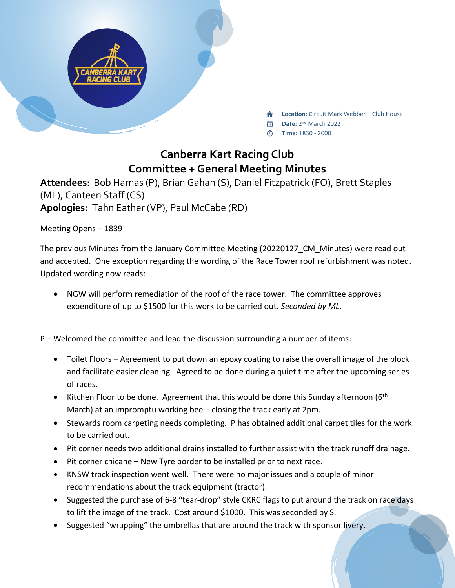

**Location:** Circuit Mark Webber – Club House

- Date: 2<sup>nd</sup> March 2022
- **Time:** 1830 2000

## **Canberra Kart Racing Club Committee + General Meeting Minutes**

**Attendees**: Bob Harnas (P), Brian Gahan (S), Daniel Fitzpatrick (FO), Brett Staples (ML), Canteen Staff (CS) **Apologies:** Tahn Eather (VP), Paul McCabe (RD)

Meeting Opens – 1839

The previous Minutes from the January Committee Meeting (20220127\_CM\_Minutes) were read out and accepted. One exception regarding the wording of the Race Tower roof refurbishment was noted. Updated wording now reads:

• NGW will perform remediation of the roof of the race tower. The committee approves expenditure of up to \$1500 for this work to be carried out. *Seconded by ML*.

P – Welcomed the committee and lead the discussion surrounding a number of items:

- Toilet Floors Agreement to put down an epoxy coating to raise the overall image of the block and facilitate easier cleaning. Agreed to be done during a quiet time after the upcoming series of races.
- Kitchen Floor to be done. Agreement that this would be done this Sunday afternoon ( $6<sup>th</sup>$ March) at an impromptu working bee – closing the track early at 2pm.
- Stewards room carpeting needs completing. P has obtained additional carpet tiles for the work to be carried out.
- Pit corner needs two additional drains installed to further assist with the track runoff drainage.
- Pit corner chicane New Tyre border to be installed prior to next race.
- KNSW track inspection went well. There were no major issues and a couple of minor recommendations about the track equipment (tractor).
- Suggested the purchase of 6-8 "tear-drop" style CKRC flags to put around the track on race days to lift the image of the track. Cost around \$1000. This was seconded by S.
- Suggested "wrapping" the umbrellas that are around the track with sponsor livery.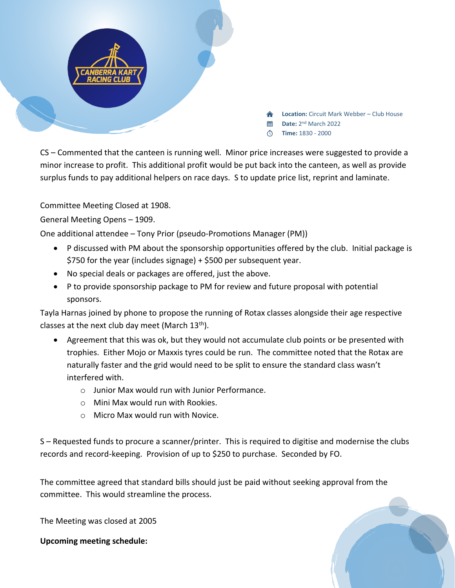

CS – Commented that the canteen is running well. Minor price increases were suggested to provide a minor increase to profit. This additional profit would be put back into the canteen, as well as provide surplus funds to pay additional helpers on race days. S to update price list, reprint and laminate.

Committee Meeting Closed at 1908.

General Meeting Opens – 1909.

One additional attendee – Tony Prior (pseudo-Promotions Manager (PM))

- P discussed with PM about the sponsorship opportunities offered by the club. Initial package is \$750 for the year (includes signage) + \$500 per subsequent year.
- No special deals or packages are offered, just the above.
- P to provide sponsorship package to PM for review and future proposal with potential sponsors.

Tayla Harnas joined by phone to propose the running of Rotax classes alongside their age respective classes at the next club day meet (March 13<sup>th</sup>).

- Agreement that this was ok, but they would not accumulate club points or be presented with trophies. Either Mojo or Maxxis tyres could be run. The committee noted that the Rotax are naturally faster and the grid would need to be split to ensure the standard class wasn't interfered with.
	- o Junior Max would run with Junior Performance.
	- $\circ$  Mini Max would run with Rookies.
	- o Micro Max would run with Novice.

S – Requested funds to procure a scanner/printer. This is required to digitise and modernise the clubs records and record-keeping. Provision of up to \$250 to purchase. Seconded by FO.

The committee agreed that standard bills should just be paid without seeking approval from the committee. This would streamline the process.

The Meeting was closed at 2005

**Upcoming meeting schedule:**